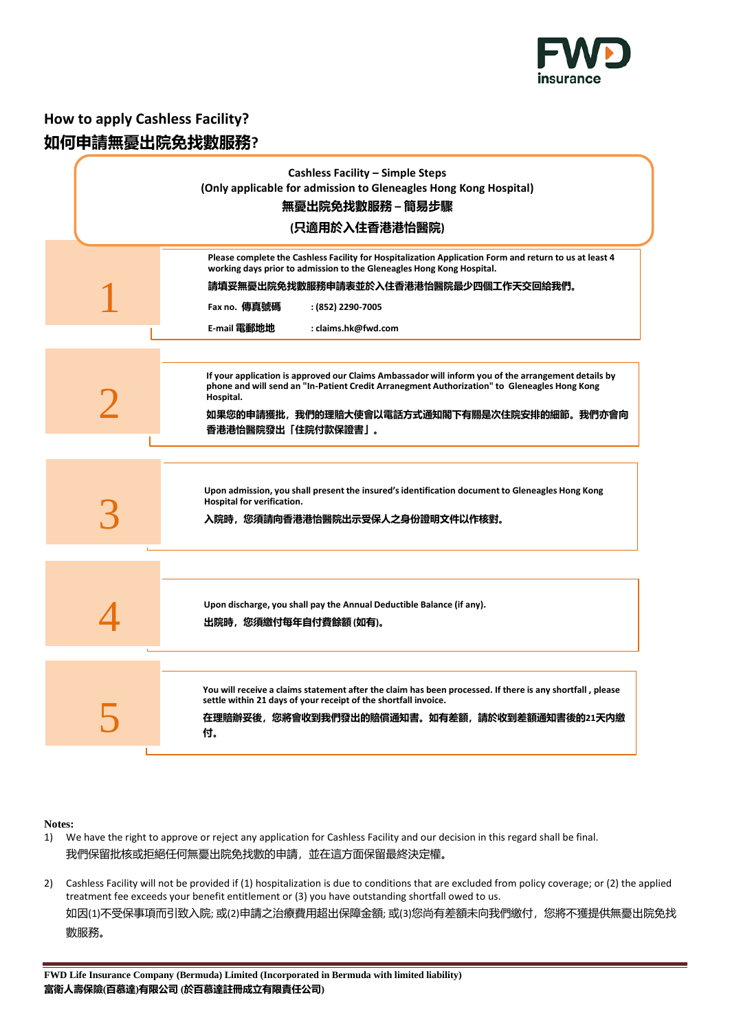

# **How to apply Cashless Facility? 如何申請無憂出院免找數服務?**

| <b>Cashless Facility - Simple Steps</b><br>(Only applicable for admission to Gleneagles Hong Kong Hospital)<br>無憂出院免找數服務 – 簡易步驟<br>(只適用於入住香港港怡醫院)                                                                                                                                                           |
|-------------------------------------------------------------------------------------------------------------------------------------------------------------------------------------------------------------------------------------------------------------------------------------------------------------|
| Please complete the Cashless Facility for Hospitalization Application Form and return to us at least 4<br>working days prior to admission to the Gleneagles Hong Kong Hospital.<br>請填妥無憂出院免找數服務申請表並於入住香港港怡醫院最少四個工作天交回給我們。<br>Fax no. 傳真號碼<br>: (852) 2290-7005<br><b>E-mail 電郵地地</b><br>: claims.hk@fwd.com |
| If your application is approved our Claims Ambassador will inform you of the arrangement details by<br>phone and will send an "In-Patient Credit Arranegment Authorization" to Gleneagles Hong Kong<br>Hospital.<br>如果您的申請獲批,我們的理賠大使會以電話方式通知閣下有關是次住院安排的細節。我們亦會向<br>香港港怡醫院發出「住院付款保證書」。                       |
| Upon admission, you shall present the insured's identification document to Gleneagles Hong Kong<br>Hospital for verification.<br>入院時,您須請向香港港怡醫院出示受保人之身份證明文件以作核對。                                                                                                                                            |
| Upon discharge, you shall pay the Annual Deductible Balance (if any).<br>出院時,您須繳付每年自付費餘額(如有)。                                                                                                                                                                                                               |
| You will receive a claims statement after the claim has been processed. If there is any shortfall, please<br>settle within 21 days of your receipt of the shortfall invoice.<br>在理賠辦妥後,您將會收到我們發出的賠償通知書。如有差額,請於收到差額通知書後的21天内繳<br>付。                                                                          |

## **Notes:**

- 1) We have the right to approve or reject any application for Cashless Facility and our decision in this regard shall be final. 我們保留批核或拒絕任何無憂出院免找數的申請,並在這方面保留最終決定權。
- 2) Cashless Facility will not be provided if (1) hospitalization is due to conditions that are excluded from policy coverage; or (2) the applied treatment fee exceeds your benefit entitlement or (3) you have outstanding shortfall owed to us. 如因(1)不受保事項而引致入院; 或(2)申請之治療費用超出保障金額; 或(3)您尚有差額未向我們繳付, 您將不獲提供無憂出院免找 數服務。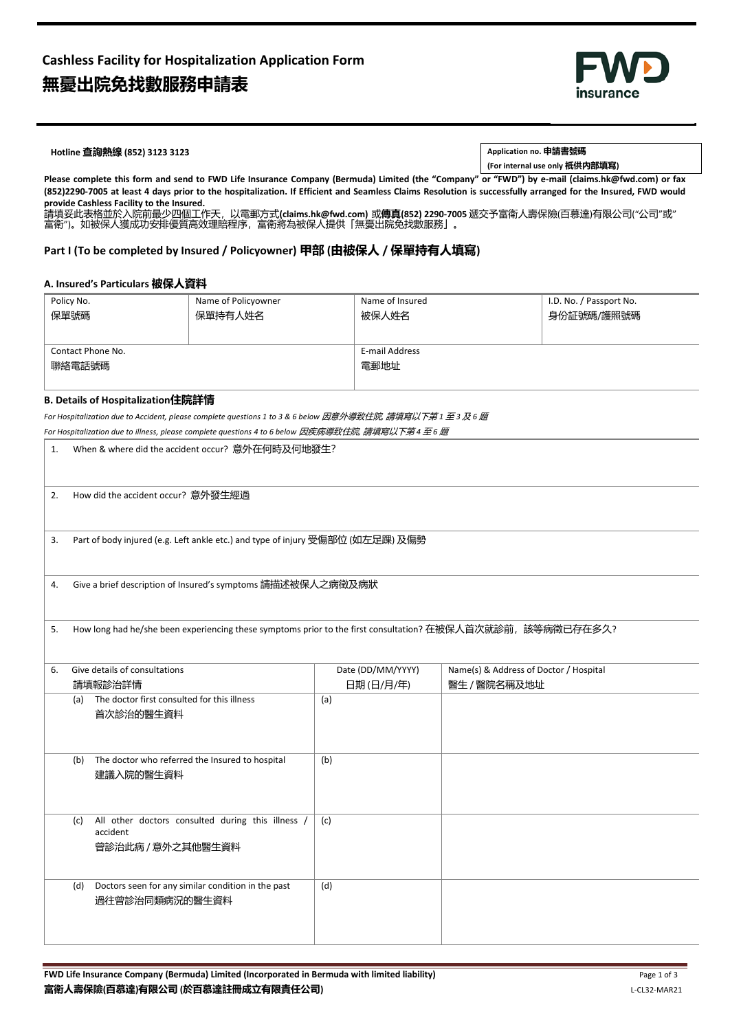

## **Hotline 查詢熱線 (852) 3123 3123 Application no. 申請書號碼**

**(For internal use only 祇供內部填寫)**

**Please complete this form and send to FWD Life Insurance Company (Bermuda) Limited (the "Company" or "FWD") by e-mail (claims.hk@fwd.com) or fax (852)2290-7005 at least 4 days prior to the hospitalization. If Efficient and Seamless Claims Resolution is successfully arranged for the Insured, FWD would provide Cashless Facility to the Insured.**

請填妥此表格並於入院前最少四個工作天,以電郵方式**(claims.hk@fwd.com)** 或**傳真(852) 2290-7005** 遞交予富衛人壽保險(百慕達)有限公司("公司"或" 富衛")。如被保人獲成功安排優質高效理賠程序,富衛將為被保人提供「無憂出院免找數服務」。

## **Part I (To be completed by Insured / Policyowner) 甲部 (由被保人 / 保單持有人填寫)**

#### **A. Insured's Particulars 被保人資料**

| Policy No.        | Name of Policyowner | Name of Insured | I.D. No. / Passport No. |  |
|-------------------|---------------------|-----------------|-------------------------|--|
| 保單號碼              | 保單持有人姓名             | 被保人姓名           | 身份証號碼/護照號碼              |  |
|                   |                     |                 |                         |  |
|                   |                     |                 |                         |  |
| Contact Phone No. |                     | E-mail Address  |                         |  |
| 聯絡電話號碼            |                     | 電郵地址            |                         |  |
|                   |                     |                 |                         |  |

#### **B. Details of Hospitalization住院詳情**

*For Hospitalization due to Accident, please complete questions 1 to 3 & 6 below* 因意外導致住院*,* 請填寫以下第 *1* 至 *3* 及 *6* 題

| 1.                                                                                                                | For Hospitalization due to illness, please complete questions 4 to 6 below <i>因疾病導致住院, 請填寫以下第</i> 4 <i>至</i> 6 <i>題</i><br>When & where did the accident occur? 意外在何時及何地發生? |                   |                                                        |  |
|-------------------------------------------------------------------------------------------------------------------|-----------------------------------------------------------------------------------------------------------------------------------------------------------------------------|-------------------|--------------------------------------------------------|--|
| 2.                                                                                                                | How did the accident occur? 意外發生經過                                                                                                                                          |                   |                                                        |  |
| 3.                                                                                                                | Part of body injured (e.g. Left ankle etc.) and type of injury 受傷部位 (如左足踝) 及傷勢                                                                                              |                   |                                                        |  |
| 4.                                                                                                                | Give a brief description of Insured's symptoms 請描述被保人之病徵及病狀                                                                                                                 |                   |                                                        |  |
| How long had he/she been experiencing these symptoms prior to the first consultation? 在被保人首次就診前, 該等病徵已存在多久?<br>5. |                                                                                                                                                                             |                   |                                                        |  |
| 6.                                                                                                                | Give details of consultations                                                                                                                                               | Date (DD/MM/YYYY) | Name(s) & Address of Doctor / Hospital<br>醫生 / 醫院名稱及地址 |  |
|                                                                                                                   | 請填報診治詳情<br>The doctor first consulted for this illness<br>(a)<br>首次診治的醫生資料                                                                                                  | 日期(日/月/年)<br>(a)  |                                                        |  |
|                                                                                                                   | The doctor who referred the Insured to hospital<br>(b)<br>建議入院的醫生資料                                                                                                         | (b)               |                                                        |  |
|                                                                                                                   | All other doctors consulted during this illness /<br>(c)<br>accident<br>曾診治此病 / 意外之其他醫生資料                                                                                   | (c)               |                                                        |  |
|                                                                                                                   | Doctors seen for any similar condition in the past<br>(d)<br>過往曾診治同類病況的醫生資料                                                                                                 | (d)               |                                                        |  |
|                                                                                                                   |                                                                                                                                                                             |                   |                                                        |  |
|                                                                                                                   | FWD Life Insurance Company (Bermuda) Limited (Incorporated in Bermuda with limited liability)                                                                               |                   | Page 1 of 3                                            |  |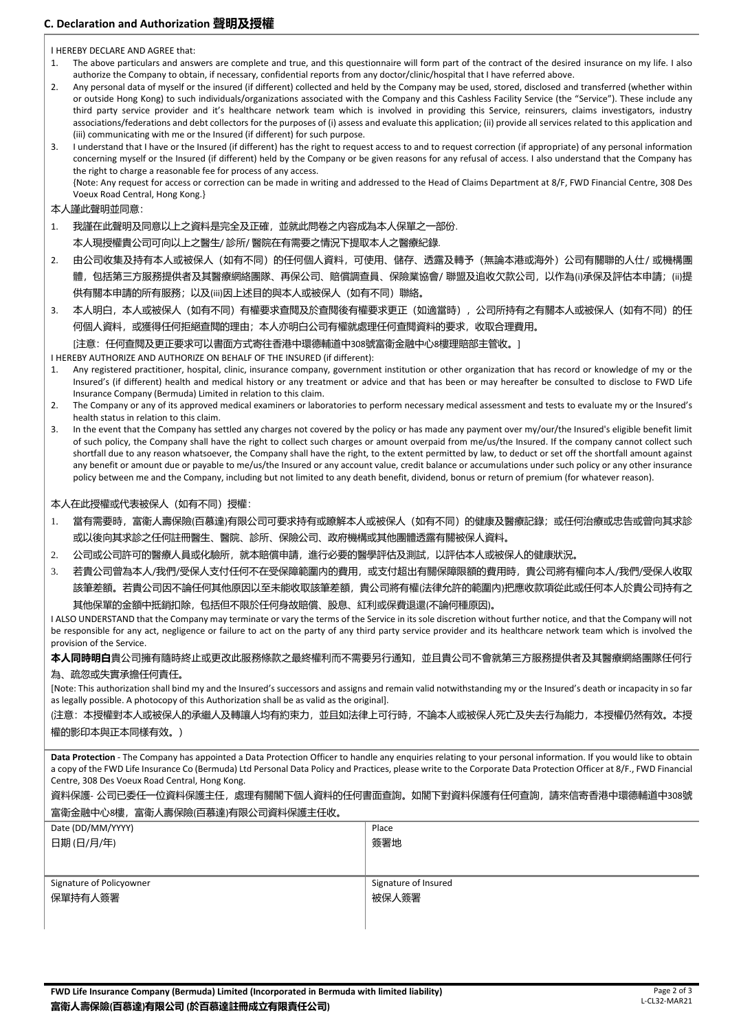# **C. Declaration and Authorization 聲明及授權**

I HEREBY DECLARE AND AGREE that:

- 1. The above particulars and answers are complete and true, and this questionnaire will form part of the contract of the desired insurance on my life. I also authorize the Company to obtain, if necessary, confidential reports from any doctor/clinic/hospital that I have referred above.
- 2. Any personal data of myself or the insured (if different) collected and held by the Company may be used, stored, disclosed and transferred (whether within or outside Hong Kong) to such individuals/organizations associated with the Company and this Cashless Facility Service (the "Service"). These include any third party service provider and it's healthcare network team which is involved in providing this Service, reinsurers, claims investigators, industry associations/federations and debt collectors for the purposes of (i) assess and evaluate this application; (ii) provide all services related to this application and (iii) communicating with me or the Insured (if different) for such purpose.
- 3. I understand that I have or the Insured (if different) has the right to request access to and to request correction (if appropriate) of any personal information concerning myself or the Insured (if different) held by the Company or be given reasons for any refusal of access. I also understand that the Company has the right to charge a reasonable fee for process of any access.

{Note: Any request for access or correction can be made in writing and addressed to the Head of Claims Department at 8/F, FWD Financial Centre, 308 Des Voeux Road Central, Hong Kong.}

本人謹此聲明並同意:

1. 我謹在此聲明及同意以上之資料是完全及正確,並就此問卷之內容成為本人保單之一部份.

本人現授權貴公司可向以上之醫生/ 診所/ 醫院在有需要之情況下提取本人之醫療紀錄.

- 2. 由公司收集及持有本人或被保人(如有不同)的任何個人資料,可使用、儲存、透露及轉予(無論本港或海外)公司有關聯的人仕/ 或機構團 體,包括第三方服務提供者及其醫療網絡團隊、再保公司、賠償調查員、保險業協會/聯盟及追收欠款公司,以作為(i)承保及評估本申請;(ii)提 供有關本申請的所有服務;以及(iii)因上述目的與本人或被保人(如有不同)聯絡。
- 3. 本人明白,本人或被保人 (如有不同) 有權要求查閱及於查閱後有權要求更正 (如適當時) , 公司所持有之有關本人或被保人 (如有不同) 的任 何個人資料,或獲得任何拒絕查閱的理由;本人亦明白公司有權就處理任何查閱資料的要求,收取合理費用。 [注意:任何查閱及更正要求可以書面方式寄往香港中環德輔道中308號富衛金融中心8樓理賠部主管收。]

I HEREBY AUTHORIZE AND AUTHORIZE ON BEHALF OF THE INSURED (if different):

- 1. Any registered practitioner, hospital, clinic, insurance company, government institution or other organization that has record or knowledge of my or the Insured's (if different) health and medical history or any treatment or advice and that has been or may hereafter be consulted to disclose to FWD Life Insurance Company (Bermuda) Limited in relation to this claim.
- 2. The Company or any of its approved medical examiners or laboratories to perform necessary medical assessment and tests to evaluate my or the Insured's health status in relation to this claim.
- 3. In the event that the Company has settled any charges not covered by the policy or has made any payment over my/our/the Insured's eligible benefit limit of such policy, the Company shall have the right to collect such charges or amount overpaid from me/us/the Insured. If the company cannot collect such shortfall due to any reason whatsoever, the Company shall have the right, to the extent permitted by law, to deduct or set off the shortfall amount against any benefit or amount due or payable to me/us/the Insured or any account value, credit balance or accumulations under such policy or any other insurance policy between me and the Company, including but not limited to any death benefit, dividend, bonus or return of premium (for whatever reason).

本人在此授權或代表被保人(如有不同)授權:

- 1. 當有需要時,富衛人壽保險(百慕達)有限公司可要求持有或瞭解本人或被保人(如有不同)的健康及醫療記錄;或任何治療或忠告或曾向其求診 或以後向其求診之任何註冊醫生、醫院、診所、保險公司、政府機構或其他團體透露有關被保人資料。
- 2. 公司或公司許可的醫療人員或化驗所,就本賠償申請,進行必要的醫學評估及測試,以評估本人或被保人的健康狀況。
- 3. 若貴公司曾為本人/我們/受保人支付任何不在受保障範圍内的費用,或支付超出有關保障限額的費用時,貴公司將有權向本人/我們/受保人收取 該筆差額。若貴公司因不論任何其他原因以至未能收取該筆差額,貴公司將有權(法律允許的範圍內)把應收款項從此或任何本人於貴公司持有之 其他保單的金額中抵銷扣除,包括但不限於任何身故賠償、股息、紅利或保費退還(不論何種原因)。

I ALSO UNDERSTAND that the Company may terminate or vary the terms of the Service in its sole discretion without further notice, and that the Company will not be responsible for any act, negligence or failure to act on the party of any third party service provider and its healthcare network team which is involved the provision of the Service.

**本人同時明白**貴公司擁有隨時終止或更改此服務條款之最終權利而不需要另行通知,並且貴公司不會就第三方服務提供者及其醫療網絡團隊任何行 為、疏忽或失實承擔任何責任。

[Note: This authorization shall bind my and the Insured's successors and assigns and remain valid notwithstanding my or the Insured's death or incapacity in so far as legally possible. A photocopy of this Authorization shall be as valid as the original].

(注意:本授權對本人或被保人的承繼人及轉讓人均有約束力,並且如法律上可行時,不論本人或被保人死亡及失去行為能力,本授權仍然有效。本授 權的影印本與正本同樣有效。)

**Data Protection** - The Company has appointed a Data Protection Officer to handle any enquiries relating to your personal information. If you would like to obtain a copy of the FWD Life Insurance Co (Bermuda) Ltd Personal Data Policy and Practices, please write to the Corporate Data Protection Officer at 8/F., FWD Financial Centre, 308 Des Voeux Road Central, Hong Kong.

資料保護- 公司已委任一位資料保護主任,處理有關閣下個人資料的任何書面查詢。如閣下對資料保護有任何查詢,請來信寄香港中環德輔道中308號 富衛金融中心8樓,富衛人壽保險(百慕達)有限公司資料保護主任收。

| Place                |
|----------------------|
| 簽署地                  |
|                      |
|                      |
| Signature of Insured |
| 被保人簽署                |
|                      |
|                      |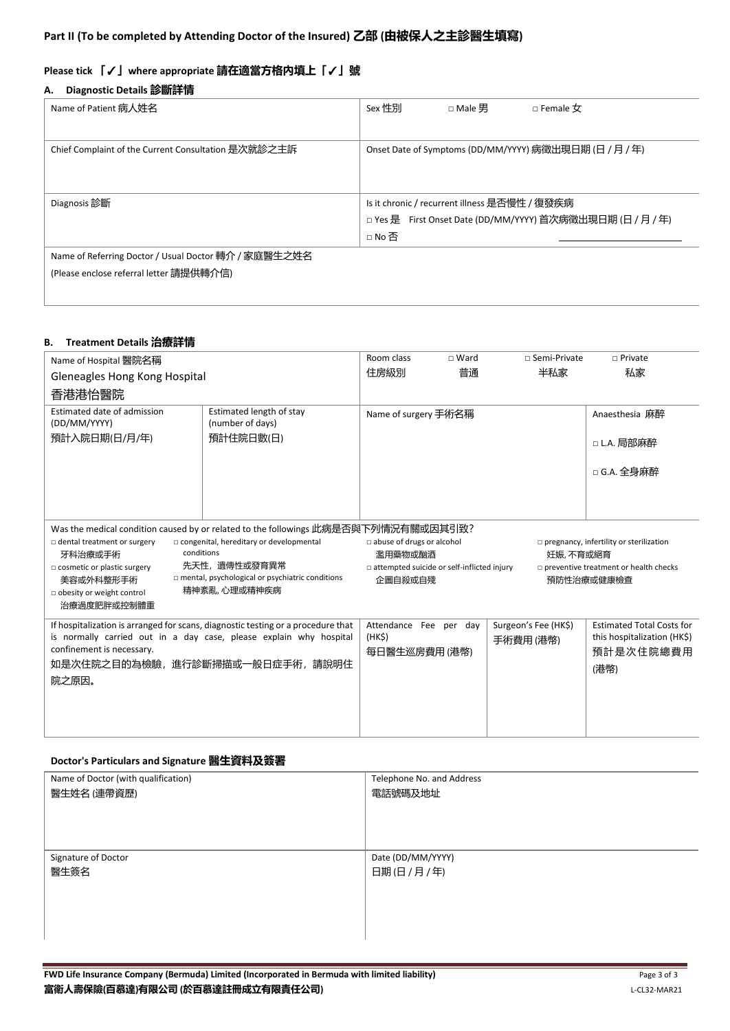# **Please tick 「**✓**」where appropriate 請在適當方格內填上「**✓**」號**

# **A. Diagnostic Details 診斷詳情**

| Name of Patient 病人姓名                                 | Sex 性別<br>$\Box$ Female $\sigma$<br>□ Male 男               |
|------------------------------------------------------|------------------------------------------------------------|
|                                                      |                                                            |
| Chief Complaint of the Current Consultation 是次就診之主訴  | Onset Date of Symptoms (DD/MM/YYYY) 病徵出現日期 (日 / 月 / 年)     |
|                                                      |                                                            |
|                                                      |                                                            |
| Diagnosis 診斷                                         | Is it chronic / recurrent illness 是否慢性 / 復發疾病              |
|                                                      | □ Yes 是 First Onset Date (DD/MM/YYYY) 首次病徵出現日期 (日 / 月 / 年) |
|                                                      | □No否                                                       |
| Name of Referring Doctor / Usual Doctor 轉介 / 家庭醫生之姓名 |                                                            |
| (Please enclose referral letter 請提供轉介信)              |                                                            |

## **B. Treatment Details 治療詳情**

| Name of Hospital 醫院名稱                                                                                         |                                                                                    | Room class                                                                                            | $\sqcap$ Ward | □ Semi-Private       | $\Box$ Private                        |
|---------------------------------------------------------------------------------------------------------------|------------------------------------------------------------------------------------|-------------------------------------------------------------------------------------------------------|---------------|----------------------|---------------------------------------|
| Gleneagles Hong Kong Hospital                                                                                 |                                                                                    | 住房級別                                                                                                  | 普通            | 半私家                  | 私家                                    |
| 香港港怡醫院                                                                                                        |                                                                                    |                                                                                                       |               |                      |                                       |
| Estimated date of admission                                                                                   | Estimated length of stay                                                           | Name of surgery 手術名稱                                                                                  |               |                      | Anaesthesia 麻醉                        |
| (DD/MM/YYYY)<br>預計入院日期(日/月/年)                                                                                 | (number of days)<br>預計住院日數(日)                                                      |                                                                                                       |               |                      |                                       |
|                                                                                                               |                                                                                    |                                                                                                       |               |                      | □ L.A. 局部麻醉                           |
|                                                                                                               |                                                                                    |                                                                                                       |               |                      | □ G.A. 全身麻醉                           |
|                                                                                                               |                                                                                    |                                                                                                       |               |                      |                                       |
|                                                                                                               |                                                                                    |                                                                                                       |               |                      |                                       |
|                                                                                                               |                                                                                    |                                                                                                       |               |                      |                                       |
|                                                                                                               | Was the medical condition caused by or related to the followings 此病是否與下列情況有關或因其引致? |                                                                                                       |               |                      |                                       |
| $\Box$ dental treatment or surgery<br>$\Box$ congenital, hereditary or developmental<br>conditions<br>牙科治療或手術 |                                                                                    | abuse of drugs or alcohol<br>$\square$ pregnancy, infertility or sterilization<br>濫用藥物或酗酒<br>妊娠,不育或絕育 |               |                      |                                       |
| 先天性, 遺傳性或發育異常<br>$\Box$ cosmetic or plastic surgery                                                           |                                                                                    | □ attempted suicide or self-inflicted injury                                                          |               |                      | preventive treatment or health checks |
| mental, psychological or psychiatric conditions<br>美容或外科整形手術                                                  |                                                                                    | 企圖自殺或自殘                                                                                               |               |                      | 預防性治療或健康檢查                            |
| obesity or weight control                                                                                     | 精神紊亂,心理或精神疾病                                                                       |                                                                                                       |               |                      |                                       |
| 治療過度肥胖或控制體重                                                                                                   |                                                                                    |                                                                                                       |               |                      |                                       |
|                                                                                                               | If hospitalization is arranged for scans, diagnostic testing or a procedure that   | Attendance Fee per day                                                                                |               | Surgeon's Fee (HK\$) | <b>Estimated Total Costs for</b>      |
| is normally carried out in a day case, please explain why hospital                                            |                                                                                    | (HK <sub>5</sub> )                                                                                    |               | 手術費用(港幣)             | this hospitalization (HK\$)           |
| confinement is necessary.                                                                                     |                                                                                    | 每日醫生巡房費用 (港幣)                                                                                         |               |                      | 預計是次住院總費用                             |
| 如是次住院之目的為檢驗,進行診斷掃描或一般日症手術,請說明住                                                                                |                                                                                    |                                                                                                       |               |                      | (港幣)                                  |
| 院之原因。                                                                                                         |                                                                                    |                                                                                                       |               |                      |                                       |
|                                                                                                               |                                                                                    |                                                                                                       |               |                      |                                       |
|                                                                                                               |                                                                                    |                                                                                                       |               |                      |                                       |
|                                                                                                               |                                                                                    |                                                                                                       |               |                      |                                       |

# **Doctor's Particulars and Signature 醫生資料及簽署**

| Name of Doctor (with qualification) | Telephone No. and Address |
|-------------------------------------|---------------------------|
| 醫生姓名 (連帶資歷)                         | 電話號碼及地址                   |
|                                     |                           |
|                                     |                           |
|                                     |                           |
| Signature of Doctor                 | Date (DD/MM/YYYY)         |
|                                     |                           |
| 醫生簽名                                | 日期(日/月/年)                 |
|                                     |                           |
|                                     |                           |
|                                     |                           |
|                                     |                           |
|                                     |                           |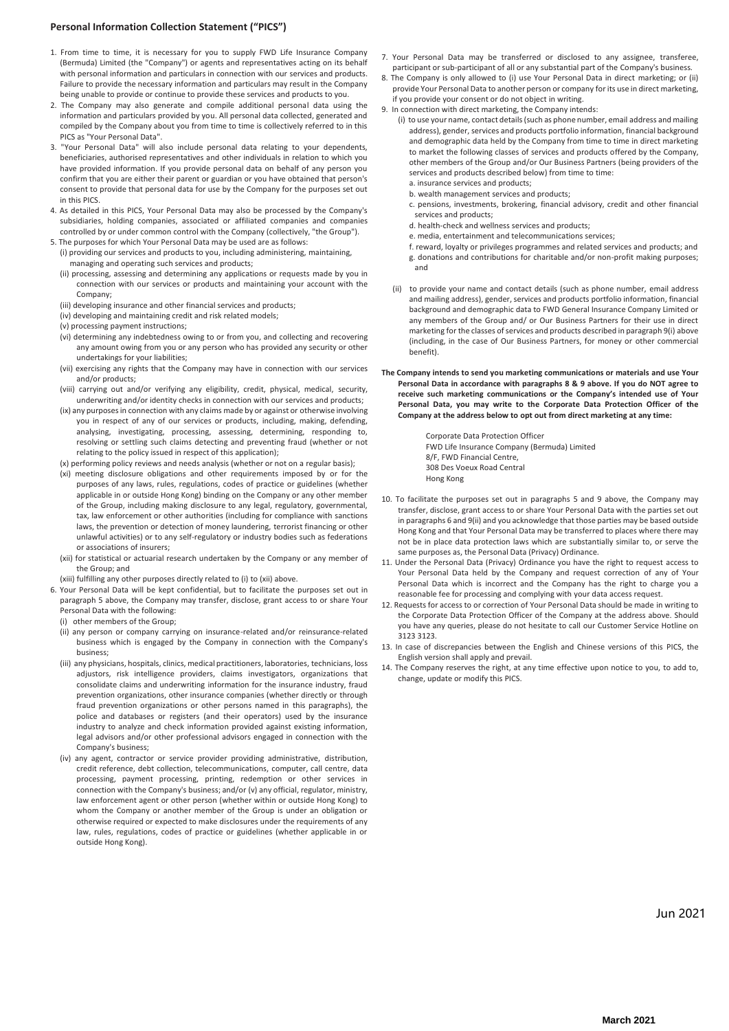#### **Personal Information Collection Statement ("PICS")**

- 1. From time to time, it is necessary for you to supply FWD Life Insurance Company (Bermuda) Limited (the "Company") or agents and representatives acting on its behalf with personal information and particulars in connection with our services and products. Failure to provide the necessary information and particulars may result in the Company being unable to provide or continue to provide these services and products to you.
- 2. The Company may also generate and compile additional personal data using the information and particulars provided by you. All personal data collected, generated and compiled by the Company about you from time to time is collectively referred to in this PICS as "Your Personal Data".
- 3. "Your Personal Data" will also include personal data relating to your dependents, beneficiaries, authorised representatives and other individuals in relation to which you have provided information. If you provide personal data on behalf of any person you confirm that you are either their parent or guardian or you have obtained that person's consent to provide that personal data for use by the Company for the purposes set out in this PICS
- 4. As detailed in this PICS, Your Personal Data may also be processed by the Company's subsidiaries, holding companies, associated or affiliated companies and companies controlled by or under common control with the Company (collectively, "the Group").
- 5. The purposes for which Your Personal Data may be used are as follows: (i) providing our services and products to you, including administering, maintaining, managing and operating such services and products;
	- (ii) processing, assessing and determining any applications or requests made by you in connection with our services or products and maintaining your account with the Company;
	- (iii) developing insurance and other financial services and products;
	- (iv) developing and maintaining credit and risk related models;
	- (v) processing payment instructions;
	- (vi) determining any indebtedness owing to or from you, and collecting and recovering any amount owing from you or any person who has provided any security or other undertakings for your liabilities;
	- (vii) exercising any rights that the Company may have in connection with our services and/or products;
	- (viii) carrying out and/or verifying any eligibility, credit, physical, medical, security, underwriting and/or identity checks in connection with our services and products;
	- (ix) any purposes in connection with any claims made by or against or otherwise involving you in respect of any of our services or products, including, making, defending, analysing, investigating, processing, assessing, determining, responding to, resolving or settling such claims detecting and preventing fraud (whether or not relating to the policy issued in respect of this application);
	- (x) performing policy reviews and needs analysis (whether or not on a regular basis);
	- (xi) meeting disclosure obligations and other requirements imposed by or for the purposes of any laws, rules, regulations, codes of practice or guidelines (whether applicable in or outside Hong Kong) binding on the Company or any other member of the Group, including making disclosure to any legal, regulatory, governmental, tax, law enforcement or other authorities (including for compliance with sanctions laws, the prevention or detection of money laundering, terrorist financing or other unlawful activities) or to any self-regulatory or industry bodies such as federations or associations of insurers;
	- (xii) for statistical or actuarial research undertaken by the Company or any member of the Group; and
	- (xiii) fulfilling any other purposes directly related to (i) to (xii) above.
- 6. Your Personal Data will be kept confidential, but to facilitate the purposes set out in paragraph 5 above, the Company may transfer, disclose, grant access to or share Your Personal Data with the following:
	- (i) other members of the Group;
	- (ii) any person or company carrying on insurance-related and/or reinsurance-related business which is engaged by the Company in connection with the Company's business;
	- (iii) any physicians, hospitals, clinics, medical practitioners, laboratories, technicians, loss adjustors, risk intelligence providers, claims investigators, organizations that consolidate claims and underwriting information for the insurance industry, fraud prevention organizations, other insurance companies (whether directly or through fraud prevention organizations or other persons named in this paragraphs), the police and databases or registers (and their operators) used by the insurance industry to analyze and check information provided against existing information, legal advisors and/or other professional advisors engaged in connection with the Company's business;
	- (iv) any agent, contractor or service provider providing administrative, distribution, credit reference, debt collection, telecommunications, computer, call centre, data processing, payment processing, printing, redemption or other services in connection with the Company's business; and/or (v) any official, regulator, ministry, law enforcement agent or other person (whether within or outside Hong Kong) to whom the Company or another member of the Group is under an obligation or otherwise required or expected to make disclosures under the requirements of any law, rules, regulations, codes of practice or guidelines (whether applicable in or outside Hong Kong).
- 7. Your Personal Data may be transferred or disclosed to any assignee, transferee, participant or sub-participant of all or any substantial part of the Company's business.
- 8. The Company is only allowed to (i) use Your Personal Data in direct marketing; or (ii) provide Your Personal Data to another person or company for its use in direct marketing, if you provide your consent or do not object in writing.
- 9. In connection with direct marketing, the Company intends:
	- (i) to use your name, contact details (such as phone number, email address and mailing address), gender, services and products portfolio information, financial background and demographic data held by the Company from time to time in direct marketing to market the following classes of services and products offered by the Company, other members of the Group and/or Our Business Partners (being providers of the services and products described below) from time to time: a. insurance services and products;
		- b. wealth management services and products;
		- c. pensions, investments, brokering, financial advisory, credit and other financial services and products;
		- d. health-check and wellness services and products;
		- e. media, entertainment and telecommunications services;
	- f. reward, loyalty or privileges programmes and related services and products; and g. donations and contributions for charitable and/or non-profit making purposes; and
	- (ii) to provide your name and contact details (such as phone number, email address and mailing address), gender, services and products portfolio information, financial background and demographic data to FWD General Insurance Company Limited or any members of the Group and/ or Our Business Partners for their use in direct marketing for the classes of services and products described in paragraph 9(i) above (including, in the case of Our Business Partners, for money or other commercial benefit).
- **The Company intends to send you marketing communications or materials and use Your Personal Data in accordance with paragraphs 8 & 9 above. If you do NOT agree to receive such marketing communications or the Company's intended use of Your Personal Data, you may write to the Corporate Data Protection Officer of the Company at the address below to opt out from direct marketing at any time:**

Corporate Data Protection Officer FWD Life Insurance Company (Bermuda) Limited 8/F, FWD Financial Centre, 308 Des Voeux Road Central Hong Kong

- 10. To facilitate the purposes set out in paragraphs 5 and 9 above, the Company may transfer, disclose, grant access to or share Your Personal Data with the parties set out in paragraphs 6 and 9(ii) and you acknowledge that those parties may be based outside Hong Kong and that Your Personal Data may be transferred to places where there may not be in place data protection laws which are substantially similar to, or serve the same purposes as, the Personal Data (Privacy) Ordinance.
- 11. Under the Personal Data (Privacy) Ordinance you have the right to request access to Your Personal Data held by the Company and request correction of any of Your Personal Data which is incorrect and the Company has the right to charge you a reasonable fee for processing and complying with your data access request.
- 12. Requests for access to or correction of Your Personal Data should be made in writing to the Corporate Data Protection Officer of the Company at the address above. Should you have any queries, please do not hesitate to call our Customer Service Hotline on 3123 3123.
- 13. In case of discrepancies between the English and Chinese versions of this PICS, the English version shall apply and prevail.
- 14. The Company reserves the right, at any time effective upon notice to you, to add to, change, update or modify this PICS.

Jun 2021